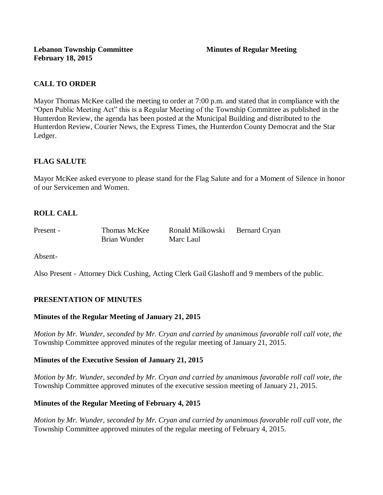# **CALL TO ORDER**

Mayor Thomas McKee called the meeting to order at 7:00 p.m. and stated that in compliance with the "Open Public Meeting Act" this is a Regular Meeting of the Township Committee as published in the Hunterdon Review, the agenda has been posted at the Municipal Building and distributed to the Hunterdon Review, Courier News, the Express Times, the Hunterdon County Democrat and the Star Ledger.

# **FLAG SALUTE**

Mayor McKee asked everyone to please stand for the Flag Salute and for a Moment of Silence in honor of our Servicemen and Women.

# **ROLL CALL**

Brian Wunder Marc Laul

Present - Thomas McKee Ronald Milkowski Bernard Cryan

Absent-

Also Present - Attorney Dick Cushing, Acting Clerk Gail Glashoff and 9 members of the public.

# **PRESENTATION OF MINUTES**

# **Minutes of the Regular Meeting of January 21, 2015**

*Motion by Mr. Wunder, seconded by Mr. Cryan and carried by unanimous favorable roll call vote, the*  Township Committee approved minutes of the regular meeting of January 21, 2015.

# **Minutes of the Executive Session of January 21, 2015**

*Motion by Mr. Wunder, seconded by Mr. Cryan and carried by unanimous favorable roll call vote, the*  Township Committee approved minutes of the executive session meeting of January 21, 2015.

# **Minutes of the Regular Meeting of February 4, 2015**

*Motion by Mr. Wunder, seconded by Mr. Cryan and carried by unanimous favorable roll call vote, the*  Township Committee approved minutes of the regular meeting of February 4, 2015.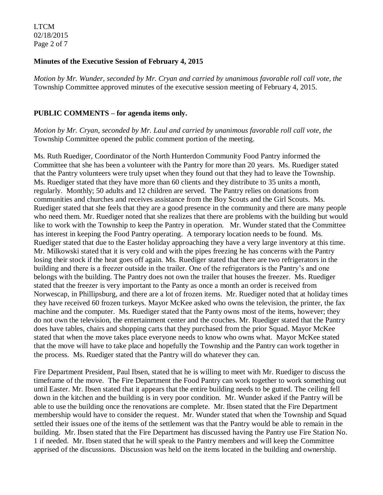LTCM 02/18/2015 Page 2 of 7

### **Minutes of the Executive Session of February 4, 2015**

*Motion by Mr. Wunder, seconded by Mr. Cryan and carried by unanimous favorable roll call vote, the*  Township Committee approved minutes of the executive session meeting of February 4, 2015.

#### **PUBLIC COMMENTS – for agenda items only.**

*Motion by Mr. Cryan, seconded by Mr. Laul and carried by unanimous favorable roll call vote, the* Township Committee opened the public comment portion of the meeting.

Ms. Ruth Ruediger, Coordinator of the North Hunterdon Community Food Pantry informed the Committee that she has been a volunteer with the Pantry for more than 20 years. Ms. Ruediger stated that the Pantry volunteers were truly upset when they found out that they had to leave the Township. Ms. Ruediger stated that they have more than 60 clients and they distribute to 35 units a month, regularly. Monthly; 50 adults and 12 children are served. The Pantry relies on donations from communities and churches and receives assistance from the Boy Scouts and the Girl Scouts. Ms. Ruediger stated that she feels that they are a good presence in the community and there are many people who need them. Mr. Ruediger noted that she realizes that there are problems with the building but would like to work with the Township to keep the Pantry in operation. Mr. Wunder stated that the Committee has interest in keeping the Food Pantry operating. A temporary location needs to be found. Ms. Ruediger stated that due to the Easter holiday approaching they have a very large inventory at this time. Mr. Milkowski stated that it is very cold and with the pipes freezing he has concerns with the Pantry losing their stock if the heat goes off again. Ms. Ruediger stated that there are two refrigerators in the building and there is a freezer outside in the trailer. One of the refrigerators is the Pantry's and one belongs with the building. The Pantry does not own the trailer that houses the freezer. Ms. Ruediger stated that the freezer is very important to the Panty as once a month an order is received from Norwescap, in Phillipsburg, and there are a lot of frozen items. Mr. Ruediger noted that at holiday times they have received 60 frozen turkeys. Mayor McKee asked who owns the television, the printer, the fax machine and the computer. Ms. Ruediger stated that the Panty owns most of the items, however; they do not own the television, the entertainment center and the couches. Mr. Ruediger stated that the Pantry does have tables, chairs and shopping carts that they purchased from the prior Squad. Mayor McKee stated that when the move takes place everyone needs to know who owns what. Mayor McKee stated that the move will have to take place and hopefully the Township and the Pantry can work together in the process. Ms. Ruediger stated that the Pantry will do whatever they can.

Fire Department President, Paul Ibsen, stated that he is willing to meet with Mr. Ruediger to discuss the timeframe of the move. The Fire Department the Food Pantry can work together to work something out until Easter. Mr. Ibsen stated that it appears that the entire building needs to be gutted. The ceiling fell down in the kitchen and the building is in very poor condition. Mr. Wunder asked if the Pantry will be able to use the building once the renovations are complete. Mr. Ibsen stated that the Fire Department membership would have to consider the request. Mr. Wunder stated that when the Township and Squad settled their issues one of the items of the settlement was that the Pantry would be able to remain in the building. Mr. Ibsen stated that the Fire Department has discussed having the Pantry use Fire Station No. 1 if needed. Mr. Ibsen stated that he will speak to the Pantry members and will keep the Committee apprised of the discussions. Discussion was held on the items located in the building and ownership.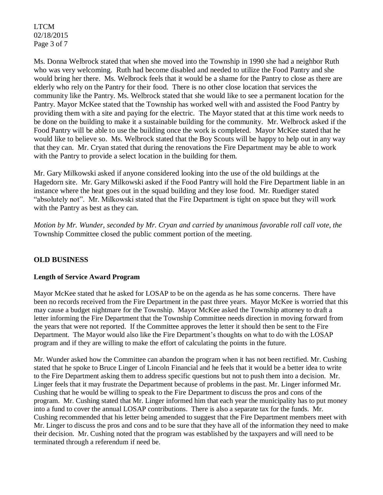LTCM 02/18/2015 Page 3 of 7

Ms. Donna Welbrock stated that when she moved into the Township in 1990 she had a neighbor Ruth who was very welcoming. Ruth had become disabled and needed to utilize the Food Pantry and she would bring her there. Ms. Welbrock feels that it would be a shame for the Pantry to close as there are elderly who rely on the Pantry for their food. There is no other close location that services the community like the Pantry. Ms. Welbrock stated that she would like to see a permanent location for the Pantry. Mayor McKee stated that the Township has worked well with and assisted the Food Pantry by providing them with a site and paying for the electric. The Mayor stated that at this time work needs to be done on the building to make it a sustainable building for the community. Mr. Welbrock asked if the Food Pantry will be able to use the building once the work is completed. Mayor McKee stated that he would like to believe so. Ms. Welbrock stated that the Boy Scouts will be happy to help out in any way that they can. Mr. Cryan stated that during the renovations the Fire Department may be able to work with the Pantry to provide a select location in the building for them.

Mr. Gary Milkowski asked if anyone considered looking into the use of the old buildings at the Hagedorn site. Mr. Gary Milkowski asked if the Food Pantry will hold the Fire Department liable in an instance where the heat goes out in the squad building and they lose food. Mr. Ruediger stated "absolutely not". Mr. Milkowski stated that the Fire Department is tight on space but they will work with the Pantry as best as they can.

*Motion by Mr. Wunder, seconded by Mr. Cryan and carried by unanimous favorable roll call vote, the* Township Committee closed the public comment portion of the meeting.

# **OLD BUSINESS**

### **Length of Service Award Program**

Mayor McKee stated that he asked for LOSAP to be on the agenda as he has some concerns. There have been no records received from the Fire Department in the past three years. Mayor McKee is worried that this may cause a budget nightmare for the Township. Mayor McKee asked the Township attorney to draft a letter informing the Fire Department that the Township Committee needs direction in moving forward from the years that were not reported. If the Committee approves the letter it should then be sent to the Fire Department. The Mayor would also like the Fire Department's thoughts on what to do with the LOSAP program and if they are willing to make the effort of calculating the points in the future.

Mr. Wunder asked how the Committee can abandon the program when it has not been rectified. Mr. Cushing stated that he spoke to Bruce Linger of Lincoln Financial and he feels that it would be a better idea to write to the Fire Department asking them to address specific questions but not to push them into a decision. Mr. Linger feels that it may frustrate the Department because of problems in the past. Mr. Linger informed Mr. Cushing that he would be willing to speak to the Fire Department to discuss the pros and cons of the program. Mr. Cushing stated that Mr. Linger informed him that each year the municipality has to put money into a fund to cover the annual LOSAP contributions. There is also a separate tax for the funds. Mr. Cushing recommended that his letter being amended to suggest that the Fire Department members meet with Mr. Linger to discuss the pros and cons and to be sure that they have all of the information they need to make their decision. Mr. Cushing noted that the program was established by the taxpayers and will need to be terminated through a referendum if need be.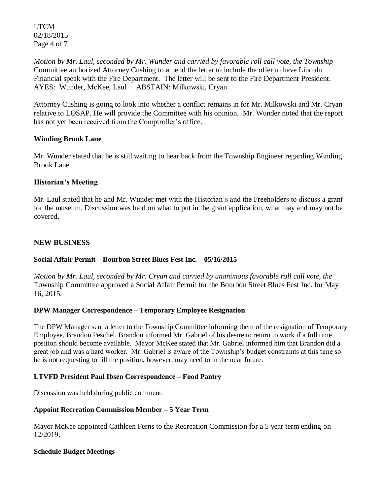LTCM 02/18/2015 Page 4 of 7

*Motion by Mr. Laul, seconded by Mr. Wunder and carried by favorable roll call vote, the Township* Committee authorized Attorney Cushing to amend the letter to include the offer to have Lincoln Financial speak with the Fire Department. The letter will be sent to the Fire Department President. AYES: Wunder, McKee, Laul ABSTAIN: Milkowski, Cryan

Attorney Cushing is going to look into whether a conflict remains in for Mr. Milkowski and Mr. Cryan relative to LOSAP. He will provide the Committee with his opinion. Mr. Wunder noted that the report has not yet been received from the Comptroller's office.

### **Winding Brook Lane**

Mr. Wunder stated that he is still waiting to hear back from the Township Engineer regarding Winding Brook Lane.

### **Historian's Meeting**

Mr. Laul stated that he and Mr. Wunder met with the Historian's and the Freeholders to discuss a grant for the museum. Discussion was held on what to put in the grant application, what may and may not be covered.

### **NEW BUSINESS**

# **Social Affair Permit – Bourbon Street Blues Fest Inc. – 05/16/2015**

*Motion by Mr. Laul, seconded by Mr. Cryan and carried by unanimous favorable roll call vote, the* Township Committee approved a Social Affair Permit for the Bourbon Street Blues Fest Inc. for May 16, 2015.

### **DPW Manager Correspondence – Temporary Employee Resignation**

The DPW Manager sent a letter to the Township Committee informing them of the resignation of Temporary Employee, Brandon Peschel. Brandon informed Mr. Gabriel of his desire to return to work if a full time position should become available. Mayor McKee stated that Mr. Gabriel informed him that Brandon did a great job and was a hard worker. Mr. Gabriel is aware of the Township's budget constraints at this time so he is not requesting to fill the position, however; may need to in the near future.

### **LTVFD President Paul Ibsen Correspondence – Food Pantry**

Discussion was held during public comment.

### **Appoint Recreation Commission Member – 5 Year Term**

Mayor McKee appointed Cathleen Ferns to the Recreation Commission for a 5 year term ending on 12/2019.

### **Schedule Budget Meetings**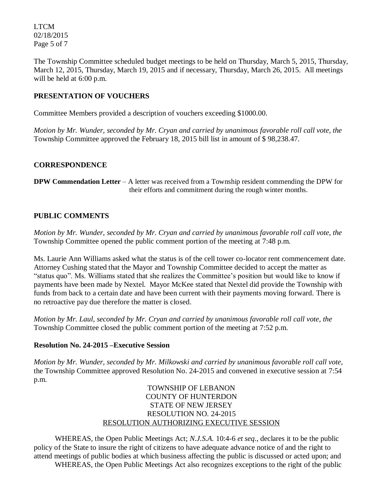LTCM 02/18/2015 Page 5 of 7

The Township Committee scheduled budget meetings to be held on Thursday, March 5, 2015, Thursday, March 12, 2015, Thursday, March 19, 2015 and if necessary, Thursday, March 26, 2015. All meetings will be held at 6:00 p.m.

# **PRESENTATION OF VOUCHERS**

Committee Members provided a description of vouchers exceeding \$1000.00.

*Motion by Mr. Wunder, seconded by Mr. Cryan and carried by unanimous favorable roll call vote, the* Township Committee approved the February 18, 2015 bill list in amount of \$ 98,238.47.

# **CORRESPONDENCE**

**DPW Commendation Letter** – A letter was received from a Township resident commending the DPW for their efforts and commitment during the rough winter months.

# **PUBLIC COMMENTS**

*Motion by Mr. Wunder, seconded by Mr. Cryan and carried by unanimous favorable roll call vote, the* Township Committee opened the public comment portion of the meeting at 7:48 p.m.

Ms. Laurie Ann Williams asked what the status is of the cell tower co-locator rent commencement date. Attorney Cushing stated that the Mayor and Township Committee decided to accept the matter as "status quo". Ms. Williams stated that she realizes the Committee's position but would like to know if payments have been made by Nextel. Mayor McKee stated that Nextel did provide the Township with funds from back to a certain date and have been current with their payments moving forward. There is no retroactive pay due therefore the matter is closed.

*Motion by Mr. Laul, seconded by Mr. Cryan and carried by unanimous favorable roll call vote, the* Township Committee closed the public comment portion of the meeting at 7:52 p.m.

# **Resolution No. 24-2015 –Executive Session**

*Motion by Mr. Wunder, seconded by Mr. Milkowski and carried by unanimous favorable roll call vote,* the Township Committee approved Resolution No. 24-2015 and convened in executive session at 7:54 p.m.

# TOWNSHIP OF LEBANON COUNTY OF HUNTERDON STATE OF NEW JERSEY RESOLUTION NO. 24-2015 RESOLUTION AUTHORIZING EXECUTIVE SESSION

WHEREAS, the Open Public Meetings Act; *N.J.S.A.* 10:4-6 *et seq*., declares it to be the public policy of the State to insure the right of citizens to have adequate advance notice of and the right to attend meetings of public bodies at which business affecting the public is discussed or acted upon; and WHEREAS, the Open Public Meetings Act also recognizes exceptions to the right of the public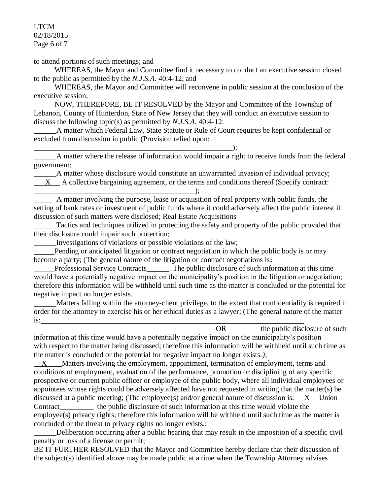LTCM 02/18/2015 Page 6 of 7

to attend portions of such meetings; and

 WHEREAS, the Mayor and Committee find it necessary to conduct an executive session closed to the public as permitted by the *N.J.S.A*. 40:4-12; and

 WHEREAS, the Mayor and Committee will reconvene in public session at the conclusion of the executive session;

 NOW, THEREFORE, BE IT RESOLVED by the Mayor and Committee of the Township of Lebanon, County of Hunterdon, State of New Jersey that they will conduct an executive session to discuss the following topic(s) as permitted by *N.J.S.A*. 40:4-12:

\_\_\_\_\_\_A matter which Federal Law, State Statute or Rule of Court requires be kept confidential or excluded from discussion in public (Provision relied upon:

\_\_\_\_\_\_A matter where the release of information would impair a right to receive funds from the federal government;

A matter whose disclosure would constitute an unwarranted invasion of individual privacy;

X A collective bargaining agreement, or the terms and conditions thereof (Specify contract:

\_\_\_\_\_\_\_\_\_\_\_\_\_\_\_\_\_\_\_\_\_\_\_\_\_\_\_\_\_\_\_\_\_\_\_\_\_\_\_\_\_\_\_); A matter involving the purpose, lease or acquisition of real property with public funds, the setting of bank rates or investment of public funds where it could adversely affect the public interest if discussion of such matters were disclosed; Real Estate Acquisitions

Tactics and techniques utilized in protecting the safety and property of the public provided that their disclosure could impair such protection;

Investigations of violations or possible violations of the law;

 Pending or anticipated litigation or contract negotiation in which the public body is or may become a party; (The general nature of the litigation or contract negotiations is**:**

Professional Service Contracts The public disclosure of such information at this time would have a potentially negative impact on the municipality's position in the litigation or negotiation; therefore this information will be withheld until such time as the matter is concluded or the potential for negative impact no longer exists.

 Matters falling within the attorney-client privilege, to the extent that confidentiality is required in order for the attorney to exercise his or her ethical duties as a lawyer; (The general nature of the matter is:

OR the public disclosure of such information at this time would have a potentially negative impact on the municipality's position with respect to the matter being discussed; therefore this information will be withheld until such time as the matter is concluded or the potential for negative impact no longer exists.*)*;

X Matters involving the employment, appointment, termination of employment, terms and conditions of employment, evaluation of the performance, promotion or disciplining of any specific prospective or current public officer or employee of the public body, where all individual employees or appointees whose rights could be adversely affected have not requested in writing that the matter(s) be discussed at a public meeting; (The employee(s) and/or general nature of discussion is:  $X$  Union Contract\_\_\_\_\_\_\_\_\_ the public disclosure of such information at this time would violate the employee(s) privacy rights; therefore this information will be withheld until such time as the matter is concluded or the threat to privacy rights no longer exists.;

Deliberation occurring after a public hearing that may result in the imposition of a specific civil penalty or loss of a license or permit;

BE IT FURTHER RESOLVED that the Mayor and Committee hereby declare that their discussion of the subject(s) identified above may be made public at a time when the Township Attorney advises

\_\_\_\_\_\_\_\_\_\_\_\_\_\_\_\_\_\_\_\_\_\_\_\_\_\_\_\_\_\_\_\_\_\_\_\_\_\_\_\_\_\_\_\_\_\_\_\_\_\_\_\_\_);